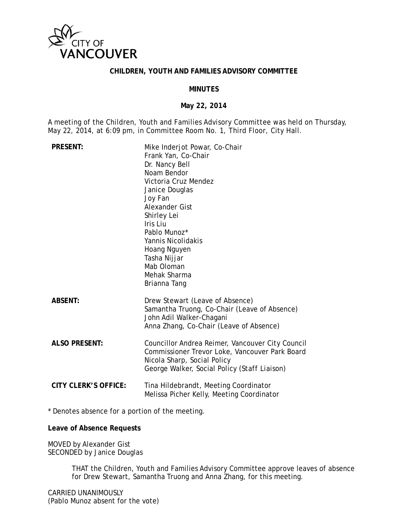

#### **CHILDREN, YOUTH AND FAMILIES ADVISORY COMMITTEE**

#### **MINUTES**

#### **May 22, 2014**

A meeting of the Children, Youth and Families Advisory Committee was held on Thursday, May 22, 2014, at 6:09 pm, in Committee Room No. 1, Third Floor, City Hall.

| <b>PRESENT:</b>      | Mike Inderjot Powar, Co-Chair<br>Frank Yan, Co-Chair<br>Dr. Nancy Bell<br>Noam Bendor<br>Victoria Cruz Mendez<br>Janice Douglas<br>Joy Fan<br>Alexander Gist<br>Shirley Lei<br>Iris Liu<br>Pablo Munoz*<br>Yannis Nicolidakis<br>Hoang Nguyen<br>Tasha Nijjar<br>Mab Oloman<br>Mehak Sharma<br>Brianna Tang |
|----------------------|-------------------------------------------------------------------------------------------------------------------------------------------------------------------------------------------------------------------------------------------------------------------------------------------------------------|
| <b>ABSENT:</b>       | Drew Stewart (Leave of Absence)<br>Samantha Truong, Co-Chair (Leave of Absence)<br>John Adil Walker-Chagani<br>Anna Zhang, Co-Chair (Leave of Absence)                                                                                                                                                      |
| <b>ALSO PRESENT:</b> | Councillor Andrea Reimer, Vancouver City Council<br>Commissioner Trevor Loke, Vancouver Park Board<br>Nicola Sharp, Social Policy<br>George Walker, Social Policy (Staff Liaison)                                                                                                                           |
| CITY CLERK'S OFFICE: | Tina Hildebrandt, Meeting Coordinator<br>Melissa Picher Kelly, Meeting Coordinator                                                                                                                                                                                                                          |

\* Denotes absence for a portion of the meeting.

**Leave of Absence Requests** 

MOVED by Alexander Gist SECONDED by Janice Douglas

> THAT the Children, Youth and Families Advisory Committee approve leaves of absence for Drew Stewart, Samantha Truong and Anna Zhang, for this meeting.

CARRIED UNANIMOUSLY (Pablo Munoz absent for the vote)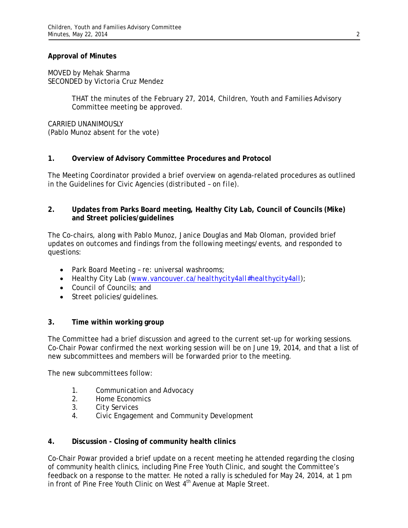#### **Approval of Minutes**

MOVED by Mehak Sharma SECONDED by Victoria Cruz Mendez

> THAT the minutes of the February 27, 2014, Children, Youth and Families Advisory Committee meeting be approved.

CARRIED UNANIMOUSLY (Pablo Munoz absent for the vote)

## **1. Overview of Advisory Committee Procedures and Protocol**

The Meeting Coordinator provided a brief overview on agenda-related procedures as outlined in the Guidelines for Civic Agencies *(distributed – on file)*.

## **2. Updates from Parks Board meeting, Healthy City Lab, Council of Councils (Mike) and Street policies/guidelines**

The Co-chairs, along with Pablo Munoz, Janice Douglas and Mab Oloman, provided brief updates on outcomes and findings from the following meetings/events, and responded to questions:

- Park Board Meeting re: universal washrooms;
- Healthy City Lab *(www.vancouver.ca/healthycity4all#healthycity4all)*;
- Council of Councils; and
- Street policies/quidelines.

# **3. Time within working group**

The Committee had a brief discussion and agreed to the current set-up for working sessions. Co-Chair Powar confirmed the next working session will be on June 19, 2014, and that a list of new subcommittees and members will be forwarded prior to the meeting.

The new subcommittees follow:

- 1. *Communication and Advocacy*
- 2. *Home Economics*
- 3. *City Services*
- 4. *Civic Engagement and Community Development*

# **4. Discussion - Closing of community health clinics**

Co-Chair Powar provided a brief update on a recent meeting he attended regarding the closing of community health clinics, including Pine Free Youth Clinic, and sought the Committee's feedback on a response to the matter. He noted a rally is scheduled for May 24, 2014, at 1 pm in front of Pine Free Youth Clinic on West 4<sup>th</sup> Avenue at Maple Street.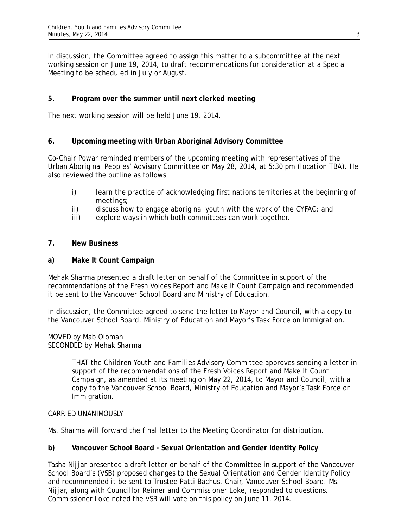In discussion, the Committee agreed to assign this matter to a subcommittee at the next working session on June 19, 2014, to draft recommendations for consideration at a Special Meeting to be scheduled in July or August.

# **5. Program over the summer until next clerked meeting**

The next working session will be held June 19, 2014.

# **6. Upcoming meeting with Urban Aboriginal Advisory Committee**

Co-Chair Powar reminded members of the upcoming meeting with representatives of the Urban Aboriginal Peoples' Advisory Committee on May 28, 2014, at 5:30 pm *(location TBA)*. He also reviewed the outline as follows:

- i) learn the practice of acknowledging first nations territories at the beginning of meetings;
- ii) discuss how to engage aboriginal youth with the work of the CYFAC; and
- iii) explore ways in which both committees can work together.

# **7. New Business**

## **a) Make It Count Campaign**

Mehak Sharma presented a draft letter on behalf of the Committee in support of the recommendations of the Fresh Voices Report and Make It Count Campaign and recommended it be sent to the Vancouver School Board and Ministry of Education.

In discussion, the Committee agreed to send the letter to Mayor and Council, with a copy to the Vancouver School Board, Ministry of Education and Mayor's Task Force on Immigration.

#### MOVED by Mab Oloman SECONDED by Mehak Sharma

THAT the Children Youth and Families Advisory Committee approves sending a letter in support of the recommendations of the Fresh Voices Report and Make It Count Campaign, as amended at its meeting on May 22, 2014, to Mayor and Council, with a copy to the Vancouver School Board, Ministry of Education and Mayor's Task Force on Immigration.

# CARRIED UNANIMOUSLY

Ms. Sharma will forward the final letter to the Meeting Coordinator for distribution.

# **b) Vancouver School Board - Sexual Orientation and Gender Identity Policy**

Tasha Nijjar presented a draft letter on behalf of the Committee in support of the Vancouver School Board's (VSB) proposed changes to the Sexual Orientation and Gender Identity Policy and recommended it be sent to Trustee Patti Bachus, Chair, Vancouver School Board. Ms. Nijjar, along with Councillor Reimer and Commissioner Loke, responded to questions. Commissioner Loke noted the VSB will vote on this policy on June 11, 2014.